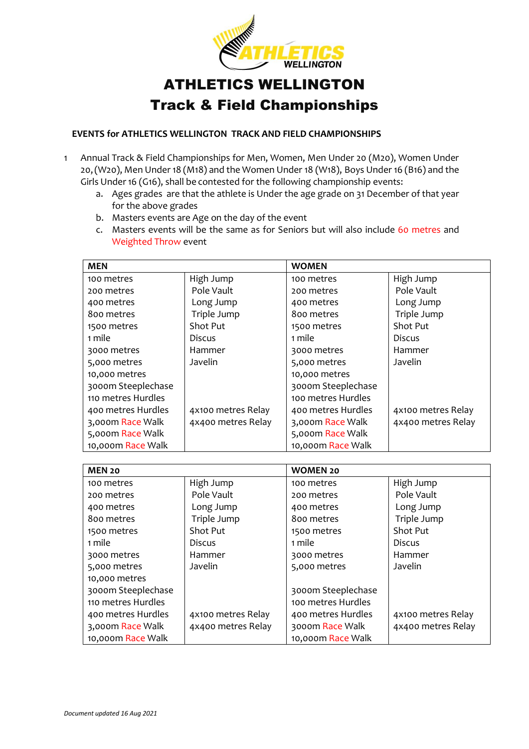

## ATHLETICS WELLINGTON Track & Field Championships

## **EVENTS for ATHLETICS WELLINGTON TRACK AND FIELD CHAMPIONSHIPS**

- 1 Annual Track & Field Championships for Men, Women, Men Under 20 (M20), Women Under 20, (W20), Men Under 18 (M18) and the Women Under 18 (W18), Boys Under 16 (B16) and the Girls Under 16 (G16), shall be contested for the following championship events:
	- a. Ages grades are that the athlete is Under the age grade on 31 December of that year for the above grades
	- b. Masters events are Age on the day of the event
	- c. Masters events will be the same as for Seniors but will also include 60 metres and Weighted Throw event

| <b>MEN</b>         |                    | <b>WOMEN</b>       |                    |
|--------------------|--------------------|--------------------|--------------------|
| 100 metres         | High Jump          | 100 metres         | High Jump          |
| 200 metres         | Pole Vault         | 200 metres         | Pole Vault         |
| 400 metres         | Long Jump          | 400 metres         | Long Jump          |
| 800 metres         | Triple Jump        | 800 metres         | Triple Jump        |
| 1500 metres        | Shot Put           | 1500 metres        | Shot Put           |
| 1 mile             | <b>Discus</b>      | 1 mile             | <b>Discus</b>      |
| 3000 metres        | Hammer             | 3000 metres        | Hammer             |
| 5,000 metres       | Javelin            | 5,000 metres       | Javelin            |
| 10,000 metres      |                    | 10,000 metres      |                    |
| 3000m Steeplechase |                    | 3000m Steeplechase |                    |
| 110 metres Hurdles |                    | 100 metres Hurdles |                    |
| 400 metres Hurdles | 4x100 metres Relay | 400 metres Hurdles | 4x100 metres Relay |
| 3,000m Race Walk   | 4x400 metres Relay | 3,000m Race Walk   | 4x400 metres Relay |
| 5,000m Race Walk   |                    | 5,000m Race Walk   |                    |
| 10,000m Race Walk  |                    | 10,000m Race Walk  |                    |

| <b>MEN 20</b>      |                    | <b>WOMEN 20</b>    |                    |
|--------------------|--------------------|--------------------|--------------------|
| 100 metres         | High Jump          | 100 metres         | High Jump          |
| 200 metres         | Pole Vault         | 200 metres         | Pole Vault         |
| 400 metres         | Long Jump          | 400 metres         | Long Jump          |
| 800 metres         | Triple Jump        | 800 metres         | Triple Jump        |
| 1500 metres        | Shot Put           | 1500 metres        | Shot Put           |
| 1 mile             | <b>Discus</b>      | 1 mile             | <b>Discus</b>      |
| 3000 metres        | Hammer             | 3000 metres        | Hammer             |
| 5,000 metres       | Javelin            | 5,000 metres       | Javelin            |
| 10,000 metres      |                    |                    |                    |
| 3000m Steeplechase |                    | 3000m Steeplechase |                    |
| 110 metres Hurdles |                    | 100 metres Hurdles |                    |
| 400 metres Hurdles | 4x100 metres Relay | 400 metres Hurdles | 4x100 metres Relay |
| 3,000m Race Walk   | 4x400 metres Relay | 3000m Race Walk    | 4x400 metres Relay |
| 10,000m Race Walk  |                    | 10,000m Race Walk  |                    |